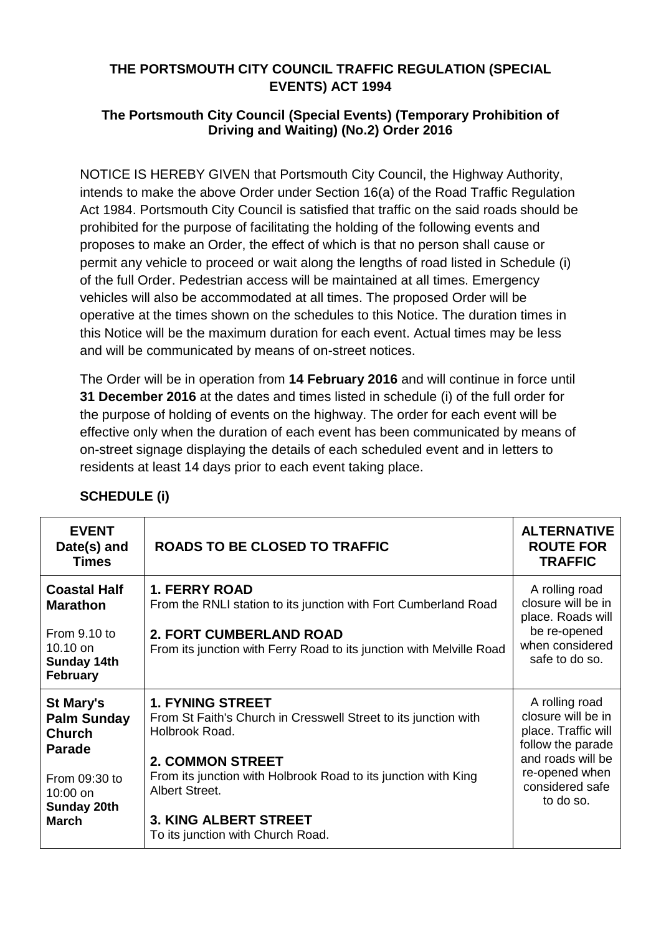## **THE PORTSMOUTH CITY COUNCIL TRAFFIC REGULATION (SPECIAL EVENTS) ACT 1994**

## **The Portsmouth City Council (Special Events) (Temporary Prohibition of Driving and Waiting) (No.2) Order 2016**

NOTICE IS HEREBY GIVEN that Portsmouth City Council, the Highway Authority, intends to make the above Order under Section 16(a) of the Road Traffic Regulation Act 1984. Portsmouth City Council is satisfied that traffic on the said roads should be prohibited for the purpose of facilitating the holding of the following events and proposes to make an Order, the effect of which is that no person shall cause or permit any vehicle to proceed or wait along the lengths of road listed in Schedule (i) of the full Order. Pedestrian access will be maintained at all times. Emergency vehicles will also be accommodated at all times. The proposed Order will be operative at the times shown on th*e* schedules to this Notice. The duration times in this Notice will be the maximum duration for each event. Actual times may be less and will be communicated by means of on-street notices.

The Order will be in operation from **14 February 2016** and will continue in force until **31 December 2016** at the dates and times listed in schedule (i) of the full order for the purpose of holding of events on the highway. The order for each event will be effective only when the duration of each event has been communicated by means of on-street signage displaying the details of each scheduled event and in letters to residents at least 14 days prior to each event taking place.

| <b>EVENT</b><br>Date(s) and<br><b>Times</b>                                                                                                 | <b>ROADS TO BE CLOSED TO TRAFFIC</b>                                                                                                                                                                                                                                                             | <b>ALTERNATIVE</b><br><b>ROUTE FOR</b><br><b>TRAFFIC</b>                                                                                                |
|---------------------------------------------------------------------------------------------------------------------------------------------|--------------------------------------------------------------------------------------------------------------------------------------------------------------------------------------------------------------------------------------------------------------------------------------------------|---------------------------------------------------------------------------------------------------------------------------------------------------------|
| <b>Coastal Half</b><br><b>Marathon</b><br>From $9.10$ to<br>10.10 on<br><b>Sunday 14th</b><br><b>February</b>                               | <b>1. FERRY ROAD</b><br>From the RNLI station to its junction with Fort Cumberland Road<br><b>2. FORT CUMBERLAND ROAD</b><br>From its junction with Ferry Road to its junction with Melville Road                                                                                                | A rolling road<br>closure will be in<br>place. Roads will<br>be re-opened<br>when considered<br>safe to do so.                                          |
| <b>St Mary's</b><br><b>Palm Sunday</b><br><b>Church</b><br><b>Parade</b><br>From 09:30 to<br>10:00 on<br><b>Sunday 20th</b><br><b>March</b> | <b>1. FYNING STREET</b><br>From St Faith's Church in Cresswell Street to its junction with<br>Holbrook Road.<br><b>2. COMMON STREET</b><br>From its junction with Holbrook Road to its junction with King<br>Albert Street.<br><b>3. KING ALBERT STREET</b><br>To its junction with Church Road. | A rolling road<br>closure will be in<br>place. Traffic will<br>follow the parade<br>and roads will be<br>re-opened when<br>considered safe<br>to do so. |

## **SCHEDULE (i)**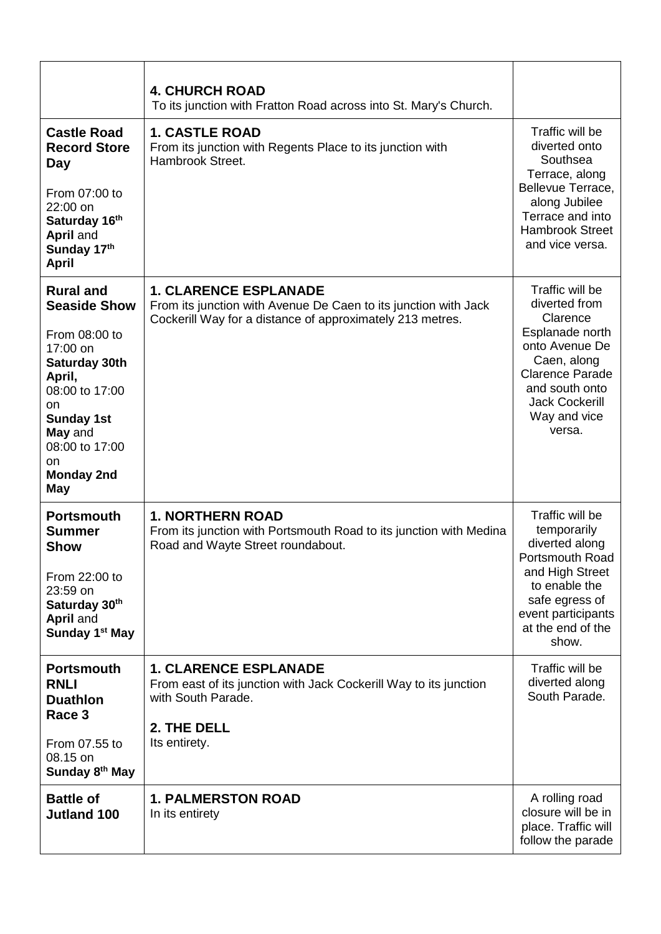|                                                                                                                                                                                                                    | <b>4. CHURCH ROAD</b><br>To its junction with Fratton Road across into St. Mary's Church.                                                                    |                                                                                                                                                                                                 |
|--------------------------------------------------------------------------------------------------------------------------------------------------------------------------------------------------------------------|--------------------------------------------------------------------------------------------------------------------------------------------------------------|-------------------------------------------------------------------------------------------------------------------------------------------------------------------------------------------------|
| <b>Castle Road</b><br><b>Record Store</b><br>Day<br>From 07:00 to<br>22:00 on<br>Saturday 16th<br>April and<br>Sunday 17th<br><b>April</b>                                                                         | <b>1. CASTLE ROAD</b><br>From its junction with Regents Place to its junction with<br>Hambrook Street.                                                       | Traffic will be<br>diverted onto<br>Southsea<br>Terrace, along<br>Bellevue Terrace,<br>along Jubilee<br>Terrace and into<br><b>Hambrook Street</b><br>and vice versa.                           |
| <b>Rural and</b><br><b>Seaside Show</b><br>From 08:00 to<br>17:00 on<br>Saturday 30th<br>April,<br>08:00 to 17:00<br>on<br><b>Sunday 1st</b><br>May and<br>08:00 to 17:00<br>on<br><b>Monday 2nd</b><br><b>May</b> | <b>1. CLARENCE ESPLANADE</b><br>From its junction with Avenue De Caen to its junction with Jack<br>Cockerill Way for a distance of approximately 213 metres. | Traffic will be<br>diverted from<br>Clarence<br>Esplanade north<br>onto Avenue De<br>Caen, along<br><b>Clarence Parade</b><br>and south onto<br><b>Jack Cockerill</b><br>Way and vice<br>versa. |
| <b>Portsmouth</b><br>Summer<br><b>Show</b><br>From 22:00 to<br>23:59 on<br>Saturday 30th<br>April and<br>Sunday 1 <sup>st</sup> May                                                                                | <b>1. NORTHERN ROAD</b><br>From its junction with Portsmouth Road to its junction with Medina<br>Road and Wayte Street roundabout.                           | Traffic will be<br>temporarily<br>diverted along<br>Portsmouth Road<br>and High Street<br>to enable the<br>safe egress of<br>event participants<br>at the end of the<br>show.                   |
| <b>Portsmouth</b><br><b>RNLI</b><br><b>Duathlon</b><br>Race 3<br>From 07.55 to<br>08.15 on<br>Sunday 8 <sup>th</sup> May                                                                                           | <b>1. CLARENCE ESPLANADE</b><br>From east of its junction with Jack Cockerill Way to its junction<br>with South Parade.<br>2. THE DELL<br>Its entirety.      | Traffic will be<br>diverted along<br>South Parade.                                                                                                                                              |
| <b>Battle of</b><br><b>Jutland 100</b>                                                                                                                                                                             | <b>1. PALMERSTON ROAD</b><br>In its entirety                                                                                                                 | A rolling road<br>closure will be in<br>place. Traffic will<br>follow the parade                                                                                                                |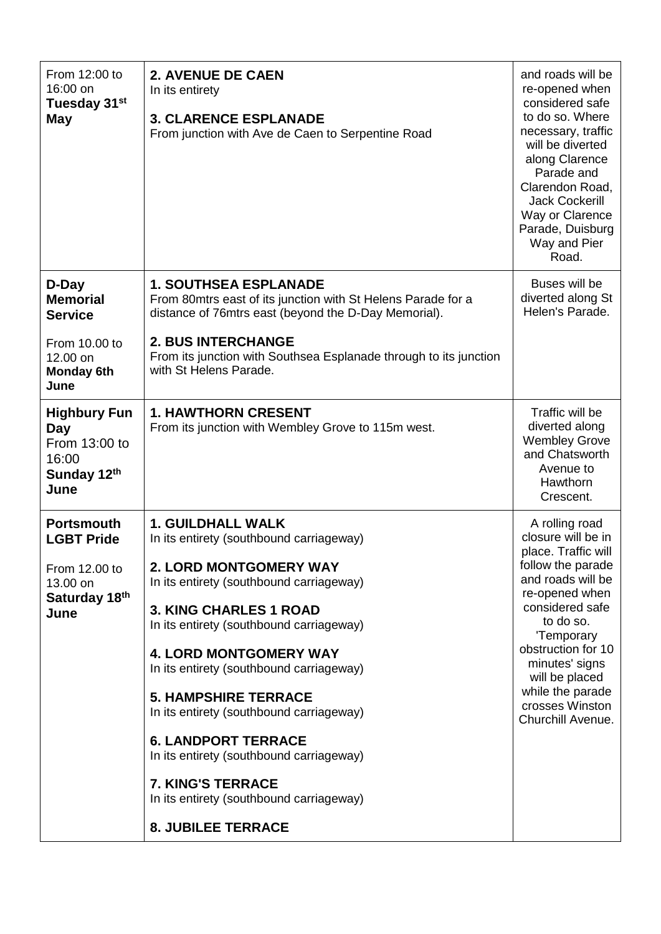| From 12:00 to<br>16:00 on<br>Tuesday 31 <sup>st</sup><br><b>May</b>                                  | <b>2. AVENUE DE CAEN</b><br>In its entirety<br><b>3. CLARENCE ESPLANADE</b><br>From junction with Ave de Caen to Serpentine Road                                                                                                                                                                                                                                                                                                                                                                                                                               | and roads will be<br>re-opened when<br>considered safe<br>to do so. Where<br>necessary, traffic<br>will be diverted<br>along Clarence<br>Parade and<br>Clarendon Road,<br><b>Jack Cockerill</b><br>Way or Clarence<br>Parade, Duisburg<br>Way and Pier<br>Road.                             |
|------------------------------------------------------------------------------------------------------|----------------------------------------------------------------------------------------------------------------------------------------------------------------------------------------------------------------------------------------------------------------------------------------------------------------------------------------------------------------------------------------------------------------------------------------------------------------------------------------------------------------------------------------------------------------|---------------------------------------------------------------------------------------------------------------------------------------------------------------------------------------------------------------------------------------------------------------------------------------------|
| D-Day<br><b>Memorial</b><br><b>Service</b><br>From 10.00 to<br>12.00 on<br><b>Monday 6th</b><br>June | <b>1. SOUTHSEA ESPLANADE</b><br>From 80mtrs east of its junction with St Helens Parade for a<br>distance of 76mtrs east (beyond the D-Day Memorial).<br><b>2. BUS INTERCHANGE</b><br>From its junction with Southsea Esplanade through to its junction<br>with St Helens Parade.                                                                                                                                                                                                                                                                               | Buses will be<br>diverted along St<br>Helen's Parade.                                                                                                                                                                                                                                       |
| <b>Highbury Fun</b><br>Day<br>From 13:00 to<br>16:00<br>Sunday 12th<br>June                          | <b>1. HAWTHORN CRESENT</b><br>From its junction with Wembley Grove to 115m west.                                                                                                                                                                                                                                                                                                                                                                                                                                                                               | Traffic will be<br>diverted along<br><b>Wembley Grove</b><br>and Chatsworth<br>Avenue to<br>Hawthorn<br>Crescent.                                                                                                                                                                           |
| <b>Portsmouth</b><br><b>LGBT Pride</b><br>From 12.00 to<br>13.00 on<br>Saturday 18th<br>June         | <b>1. GUILDHALL WALK</b><br>In its entirety (southbound carriageway)<br><b>2. LORD MONTGOMERY WAY</b><br>In its entirety (southbound carriageway)<br><b>3. KING CHARLES 1 ROAD</b><br>In its entirety (southbound carriageway)<br><b>4. LORD MONTGOMERY WAY</b><br>In its entirety (southbound carriageway)<br><b>5. HAMPSHIRE TERRACE</b><br>In its entirety (southbound carriageway)<br><b>6. LANDPORT TERRACE</b><br>In its entirety (southbound carriageway)<br>7. KING'S TERRACE<br>In its entirety (southbound carriageway)<br><b>8. JUBILEE TERRACE</b> | A rolling road<br>closure will be in<br>place. Traffic will<br>follow the parade<br>and roads will be<br>re-opened when<br>considered safe<br>to do so.<br>'Temporary<br>obstruction for 10<br>minutes' signs<br>will be placed<br>while the parade<br>crosses Winston<br>Churchill Avenue. |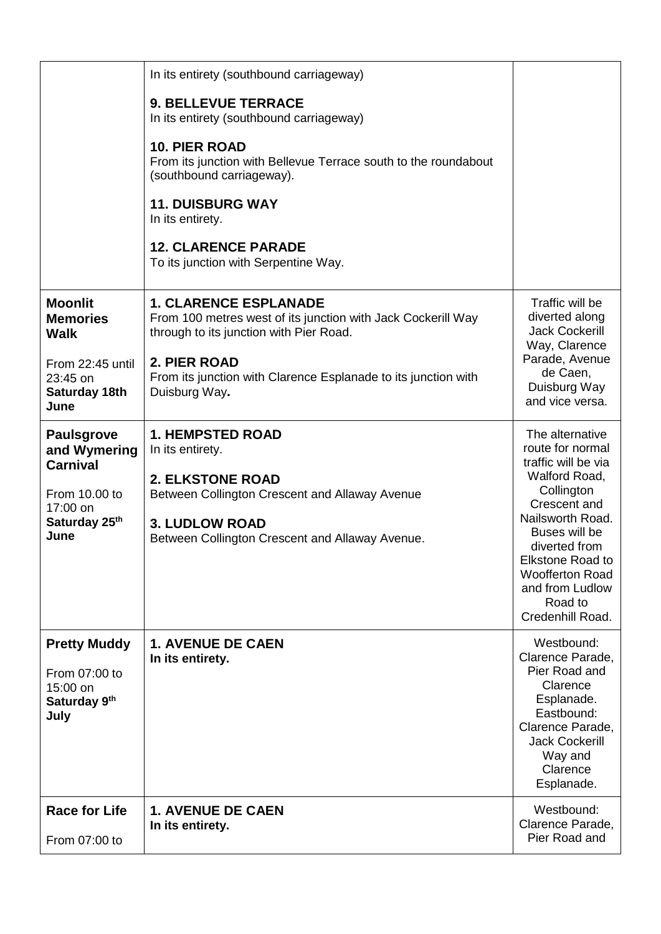|                                                                                                            | In its entirety (southbound carriageway)                                                                                                                                                                                                   |                                                                                                                                                                                                                                                                        |
|------------------------------------------------------------------------------------------------------------|--------------------------------------------------------------------------------------------------------------------------------------------------------------------------------------------------------------------------------------------|------------------------------------------------------------------------------------------------------------------------------------------------------------------------------------------------------------------------------------------------------------------------|
|                                                                                                            | <b>9. BELLEVUE TERRACE</b><br>In its entirety (southbound carriageway)<br><b>10. PIER ROAD</b><br>From its junction with Bellevue Terrace south to the roundabout<br>(southbound carriageway).                                             |                                                                                                                                                                                                                                                                        |
|                                                                                                            | <b>11. DUISBURG WAY</b><br>In its entirety.                                                                                                                                                                                                |                                                                                                                                                                                                                                                                        |
|                                                                                                            | <b>12. CLARENCE PARADE</b><br>To its junction with Serpentine Way.                                                                                                                                                                         |                                                                                                                                                                                                                                                                        |
| <b>Moonlit</b><br><b>Memories</b><br><b>Walk</b><br>From 22:45 until<br>23:45 on<br>Saturday 18th<br>June  | <b>1. CLARENCE ESPLANADE</b><br>From 100 metres west of its junction with Jack Cockerill Way<br>through to its junction with Pier Road.<br>2. PIER ROAD<br>From its junction with Clarence Esplanade to its junction with<br>Duisburg Way. | Traffic will be<br>diverted along<br><b>Jack Cockerill</b><br>Way, Clarence<br>Parade, Avenue<br>de Caen,<br>Duisburg Way<br>and vice versa.                                                                                                                           |
| <b>Paulsgrove</b><br>and Wymering<br><b>Carnival</b><br>From 10.00 to<br>17:00 on<br>Saturday 25th<br>June | <b>1. HEMPSTED ROAD</b><br>In its entirety.<br><b>2. ELKSTONE ROAD</b><br>Between Collington Crescent and Allaway Avenue<br><b>3. LUDLOW ROAD</b><br>Between Collington Crescent and Allaway Avenue.                                       | The alternative<br>route for normal<br>traffic will be via<br>Walford Road,<br>Collington<br>Crescent and<br>Nailsworth Road.<br>Buses will be<br>diverted from<br><b>Elkstone Road to</b><br><b>Woofferton Road</b><br>and from Ludlow<br>Road to<br>Credenhill Road. |
| <b>Pretty Muddy</b><br>From 07:00 to<br>15:00 on<br>Saturday 9th<br>July                                   | <b>1. AVENUE DE CAEN</b><br>In its entirety.                                                                                                                                                                                               | Westbound:<br>Clarence Parade,<br>Pier Road and<br>Clarence<br>Esplanade.<br>Eastbound:<br>Clarence Parade,<br><b>Jack Cockerill</b><br>Way and<br>Clarence<br>Esplanade.                                                                                              |
| <b>Race for Life</b><br>From 07:00 to                                                                      | <b>1. AVENUE DE CAEN</b><br>In its entirety.                                                                                                                                                                                               | Westbound:<br>Clarence Parade,<br>Pier Road and                                                                                                                                                                                                                        |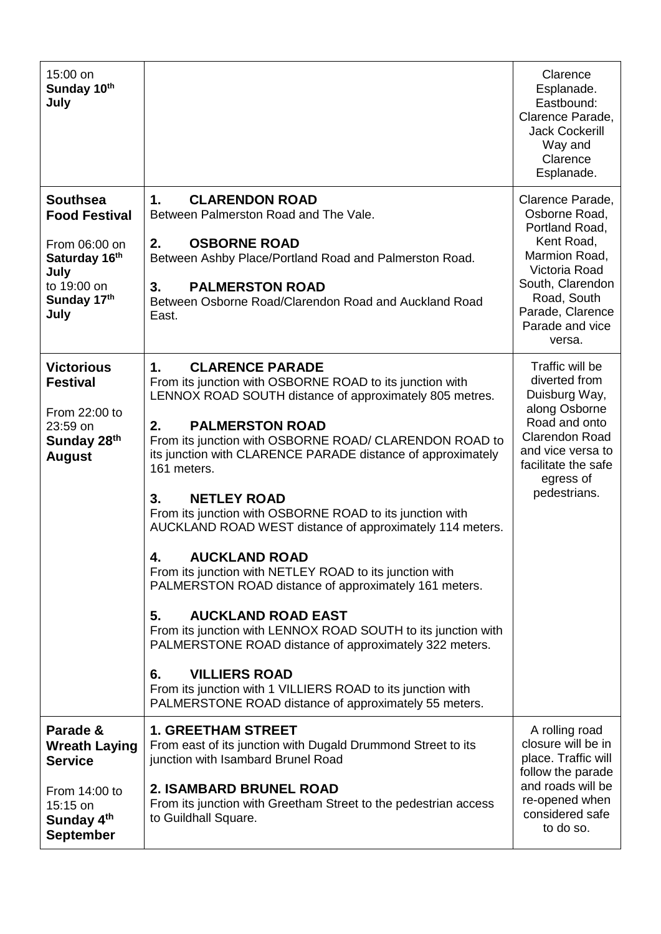| 15:00 on<br>Sunday 10th<br>July                                                                                         |                                                                                                                                                                                                                                                                                                                                                                                                                                                                                                                                                                                                                                                                                                                                                                                                                                                                                                                                                      | Clarence<br>Esplanade.<br>Eastbound:<br>Clarence Parade,<br><b>Jack Cockerill</b><br>Way and<br>Clarence<br>Esplanade.                                                                  |
|-------------------------------------------------------------------------------------------------------------------------|------------------------------------------------------------------------------------------------------------------------------------------------------------------------------------------------------------------------------------------------------------------------------------------------------------------------------------------------------------------------------------------------------------------------------------------------------------------------------------------------------------------------------------------------------------------------------------------------------------------------------------------------------------------------------------------------------------------------------------------------------------------------------------------------------------------------------------------------------------------------------------------------------------------------------------------------------|-----------------------------------------------------------------------------------------------------------------------------------------------------------------------------------------|
| <b>Southsea</b><br><b>Food Festival</b><br>From 06:00 on<br>Saturday 16th<br>July<br>to 19:00 on<br>Sunday 17th<br>July | 1.<br><b>CLARENDON ROAD</b><br>Between Palmerston Road and The Vale.<br><b>OSBORNE ROAD</b><br>2.<br>Between Ashby Place/Portland Road and Palmerston Road.<br><b>PALMERSTON ROAD</b><br>3.<br>Between Osborne Road/Clarendon Road and Auckland Road<br>East.                                                                                                                                                                                                                                                                                                                                                                                                                                                                                                                                                                                                                                                                                        | Clarence Parade,<br>Osborne Road,<br>Portland Road,<br>Kent Road,<br>Marmion Road,<br>Victoria Road<br>South, Clarendon<br>Road, South<br>Parade, Clarence<br>Parade and vice<br>versa. |
| <b>Victorious</b><br><b>Festival</b><br>From 22:00 to<br>23:59 on<br>Sunday 28th<br><b>August</b>                       | <b>CLARENCE PARADE</b><br>1.<br>From its junction with OSBORNE ROAD to its junction with<br>LENNOX ROAD SOUTH distance of approximately 805 metres.<br>2.<br><b>PALMERSTON ROAD</b><br>From its junction with OSBORNE ROAD/ CLARENDON ROAD to<br>its junction with CLARENCE PARADE distance of approximately<br>161 meters.<br><b>NETLEY ROAD</b><br>3.<br>From its junction with OSBORNE ROAD to its junction with<br>AUCKLAND ROAD WEST distance of approximately 114 meters.<br><b>AUCKLAND ROAD</b><br>4<br>From its junction with NETLEY ROAD to its junction with<br>PALMERSTON ROAD distance of approximately 161 meters.<br><b>AUCKLAND ROAD EAST</b><br>5.<br>From its junction with LENNOX ROAD SOUTH to its junction with<br>PALMERSTONE ROAD distance of approximately 322 meters.<br><b>VILLIERS ROAD</b><br>6.<br>From its junction with 1 VILLIERS ROAD to its junction with<br>PALMERSTONE ROAD distance of approximately 55 meters. | Traffic will be<br>diverted from<br>Duisburg Way,<br>along Osborne<br>Road and onto<br><b>Clarendon Road</b><br>and vice versa to<br>facilitate the safe<br>egress of<br>pedestrians.   |
| Parade &<br><b>Wreath Laying</b><br><b>Service</b><br>From 14:00 to<br>15:15 on<br>Sunday 4th<br><b>September</b>       | <b>1. GREETHAM STREET</b><br>From east of its junction with Dugald Drummond Street to its<br>junction with Isambard Brunel Road<br><b>2. ISAMBARD BRUNEL ROAD</b><br>From its junction with Greetham Street to the pedestrian access<br>to Guildhall Square.                                                                                                                                                                                                                                                                                                                                                                                                                                                                                                                                                                                                                                                                                         | A rolling road<br>closure will be in<br>place. Traffic will<br>follow the parade<br>and roads will be<br>re-opened when<br>considered safe<br>to do so.                                 |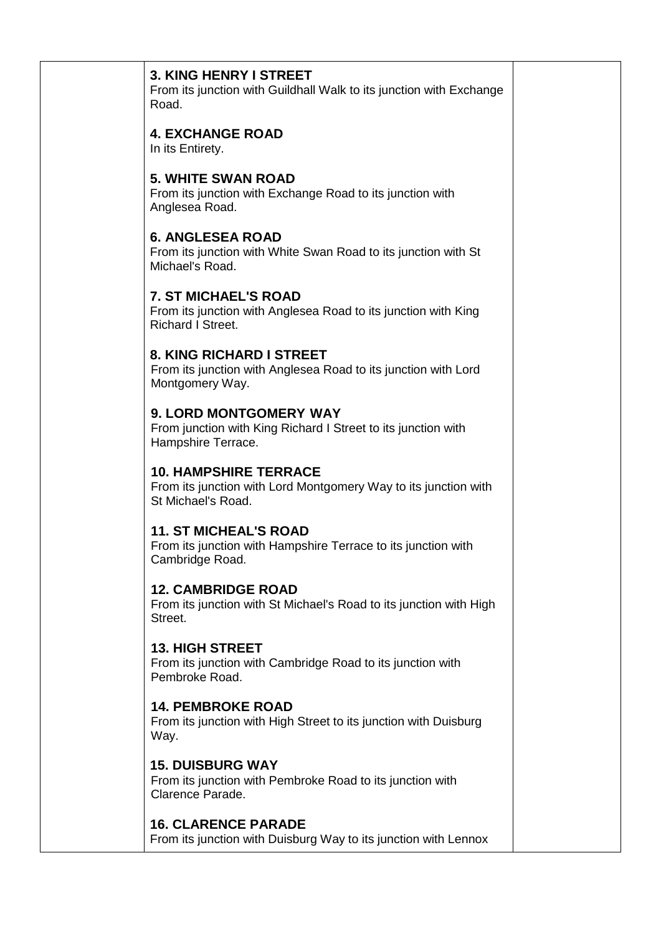| <b>3. KING HENRY I STREET</b><br>From its junction with Guildhall Walk to its junction with Exchange<br>Road.             |  |
|---------------------------------------------------------------------------------------------------------------------------|--|
| <b>4. EXCHANGE ROAD</b><br>In its Entirety.                                                                               |  |
| <b>5. WHITE SWAN ROAD</b><br>From its junction with Exchange Road to its junction with<br>Anglesea Road.                  |  |
| <b>6. ANGLESEA ROAD</b><br>From its junction with White Swan Road to its junction with St<br>Michael's Road.              |  |
| <b>7. ST MICHAEL'S ROAD</b><br>From its junction with Anglesea Road to its junction with King<br><b>Richard I Street.</b> |  |
| 8. KING RICHARD I STREET<br>From its junction with Anglesea Road to its junction with Lord<br>Montgomery Way.             |  |
| 9. LORD MONTGOMERY WAY<br>From junction with King Richard I Street to its junction with<br>Hampshire Terrace.             |  |
| <b>10. HAMPSHIRE TERRACE</b><br>From its junction with Lord Montgomery Way to its junction with<br>St Michael's Road.     |  |
| <b>11. ST MICHEAL'S ROAD</b><br>From its junction with Hampshire Terrace to its junction with<br>Cambridge Road.          |  |
| <b>12. CAMBRIDGE ROAD</b><br>From its junction with St Michael's Road to its junction with High<br>Street.                |  |
| <b>13. HIGH STREET</b><br>From its junction with Cambridge Road to its junction with<br>Pembroke Road.                    |  |
| <b>14. PEMBROKE ROAD</b><br>From its junction with High Street to its junction with Duisburg<br>Way.                      |  |
| <b>15. DUISBURG WAY</b><br>From its junction with Pembroke Road to its junction with<br>Clarence Parade.                  |  |
| <b>16. CLARENCE PARADE</b><br>From its junction with Duisburg Way to its junction with Lennox                             |  |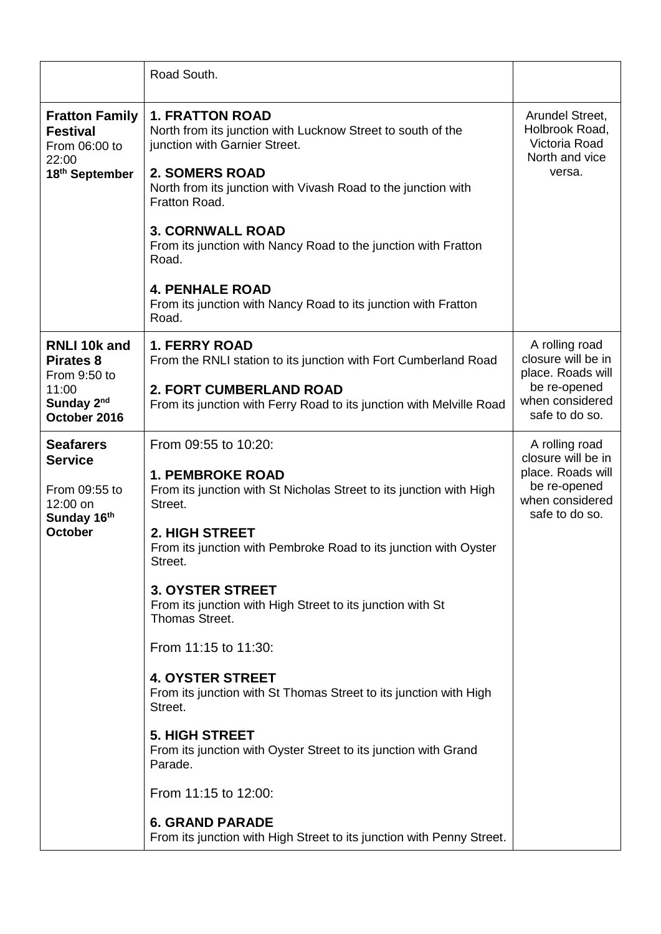|                                                                                                  | Road South.                                                                                                                                                                                                                                                                                                                                                                                                                                                                                                                                                                                                                                                                                                        |                                                                                                                |
|--------------------------------------------------------------------------------------------------|--------------------------------------------------------------------------------------------------------------------------------------------------------------------------------------------------------------------------------------------------------------------------------------------------------------------------------------------------------------------------------------------------------------------------------------------------------------------------------------------------------------------------------------------------------------------------------------------------------------------------------------------------------------------------------------------------------------------|----------------------------------------------------------------------------------------------------------------|
| <b>Fratton Family</b><br><b>Festival</b><br>From 06:00 to<br>22:00<br>18th September             | <b>1. FRATTON ROAD</b><br>North from its junction with Lucknow Street to south of the<br>junction with Garnier Street.<br><b>2. SOMERS ROAD</b><br>North from its junction with Vivash Road to the junction with<br>Fratton Road.                                                                                                                                                                                                                                                                                                                                                                                                                                                                                  | Arundel Street,<br>Holbrook Road,<br>Victoria Road<br>North and vice<br>versa.                                 |
|                                                                                                  | <b>3. CORNWALL ROAD</b><br>From its junction with Nancy Road to the junction with Fratton<br>Road.                                                                                                                                                                                                                                                                                                                                                                                                                                                                                                                                                                                                                 |                                                                                                                |
|                                                                                                  | <b>4. PENHALE ROAD</b><br>From its junction with Nancy Road to its junction with Fratton<br>Road.                                                                                                                                                                                                                                                                                                                                                                                                                                                                                                                                                                                                                  |                                                                                                                |
| <b>RNLI 10k and</b><br><b>Pirates 8</b><br>From 9:50 to<br>11:00<br>Sunday 2nd<br>October 2016   | <b>1. FERRY ROAD</b><br>From the RNLI station to its junction with Fort Cumberland Road<br><b>2. FORT CUMBERLAND ROAD</b><br>From its junction with Ferry Road to its junction with Melville Road                                                                                                                                                                                                                                                                                                                                                                                                                                                                                                                  | A rolling road<br>closure will be in<br>place. Roads will<br>be re-opened<br>when considered<br>safe to do so. |
| <b>Seafarers</b><br><b>Service</b><br>From 09:55 to<br>12:00 on<br>Sunday 16th<br><b>October</b> | From 09:55 to 10:20:<br><b>1. PEMBROKE ROAD</b><br>From its junction with St Nicholas Street to its junction with High<br>Street.<br>2. HIGH STREET<br>From its junction with Pembroke Road to its junction with Oyster<br>Street.<br><b>3. OYSTER STREET</b><br>From its junction with High Street to its junction with St<br>Thomas Street.<br>From 11:15 to 11:30:<br><b>4. OYSTER STREET</b><br>From its junction with St Thomas Street to its junction with High<br>Street.<br><b>5. HIGH STREET</b><br>From its junction with Oyster Street to its junction with Grand<br>Parade.<br>From 11:15 to 12:00:<br><b>6. GRAND PARADE</b><br>From its junction with High Street to its junction with Penny Street. | A rolling road<br>closure will be in<br>place. Roads will<br>be re-opened<br>when considered<br>safe to do so. |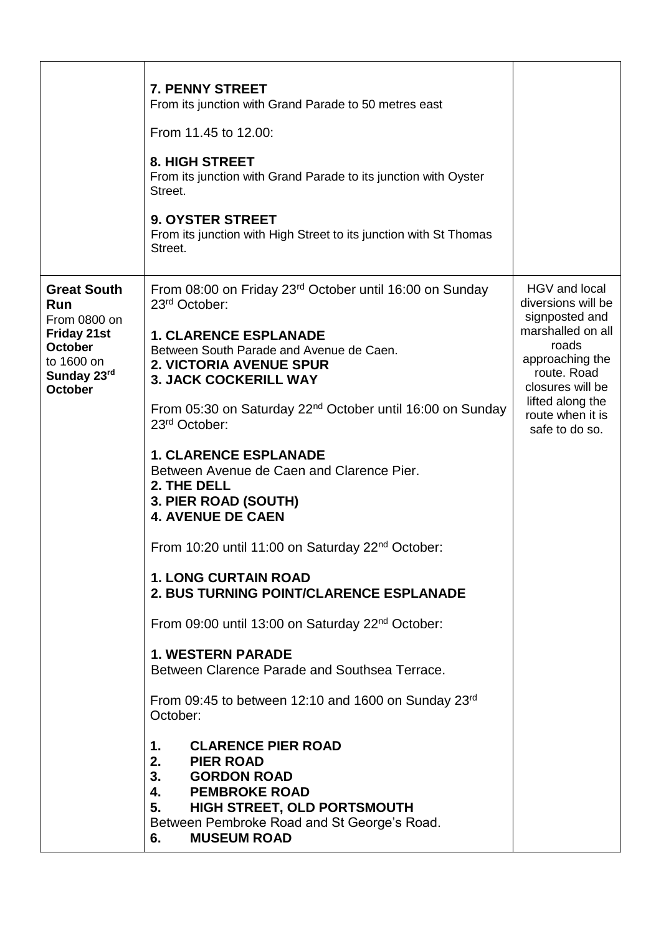|                                                                                                                                  | 7. PENNY STREET<br>From its junction with Grand Parade to 50 metres east<br>From 11.45 to 12.00:<br><b>8. HIGH STREET</b><br>From its junction with Grand Parade to its junction with Oyster<br>Street.<br><b>9. OYSTER STREET</b><br>From its junction with High Street to its junction with St Thomas<br>Street.                                                                                                                                                                                                                                                                                                                                                                                                                                                                                                                                                                                                                                                                                                                                                                     |                                                                                                                                                                                                     |
|----------------------------------------------------------------------------------------------------------------------------------|----------------------------------------------------------------------------------------------------------------------------------------------------------------------------------------------------------------------------------------------------------------------------------------------------------------------------------------------------------------------------------------------------------------------------------------------------------------------------------------------------------------------------------------------------------------------------------------------------------------------------------------------------------------------------------------------------------------------------------------------------------------------------------------------------------------------------------------------------------------------------------------------------------------------------------------------------------------------------------------------------------------------------------------------------------------------------------------|-----------------------------------------------------------------------------------------------------------------------------------------------------------------------------------------------------|
| <b>Great South</b><br>Run<br>From 0800 on<br><b>Friday 21st</b><br><b>October</b><br>to 1600 on<br>Sunday 23rd<br><b>October</b> | From 08:00 on Friday 23rd October until 16:00 on Sunday<br>23 <sup>rd</sup> October:<br><b>1. CLARENCE ESPLANADE</b><br>Between South Parade and Avenue de Caen.<br><b>2. VICTORIA AVENUE SPUR</b><br><b>3. JACK COCKERILL WAY</b><br>From 05:30 on Saturday 22 <sup>nd</sup> October until 16:00 on Sunday<br>23 <sup>rd</sup> October:<br><b>1. CLARENCE ESPLANADE</b><br>Between Avenue de Caen and Clarence Pier.<br>2. THE DELL<br>3. PIER ROAD (SOUTH)<br><b>4. AVENUE DE CAEN</b><br>From 10:20 until 11:00 on Saturday 22 <sup>nd</sup> October:<br><b>1. LONG CURTAIN ROAD</b><br><b>2. BUS TURNING POINT/CLARENCE ESPLANADE</b><br>From 09:00 until 13:00 on Saturday 22 <sup>nd</sup> October:<br><b>1. WESTERN PARADE</b><br>Between Clarence Parade and Southsea Terrace.<br>From 09:45 to between 12:10 and 1600 on Sunday 23rd<br>October:<br><b>CLARENCE PIER ROAD</b><br>1.<br>2.<br><b>PIER ROAD</b><br>3.<br><b>GORDON ROAD</b><br>4. PEMBROKE ROAD<br>HIGH STREET, OLD PORTSMOUTH<br>5.<br>Between Pembroke Road and St George's Road.<br><b>MUSEUM ROAD</b><br>6. | HGV and local<br>diversions will be<br>signposted and<br>marshalled on all<br>roads<br>approaching the<br>route. Road<br>closures will be<br>lifted along the<br>route when it is<br>safe to do so. |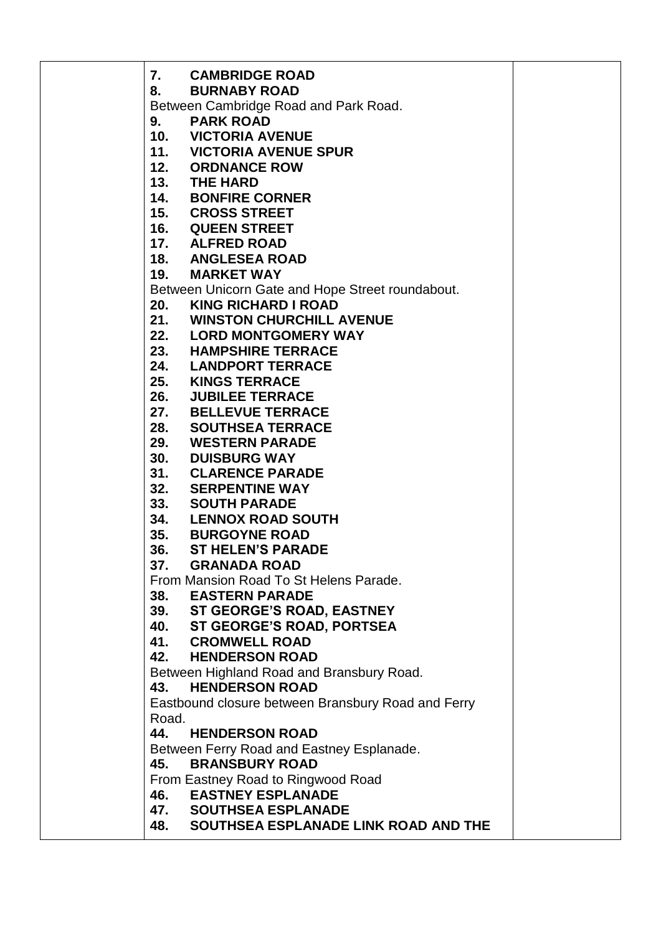**7. CAMBRIDGE ROAD 8. BURNABY ROAD**  Between Cambridge Road and Park Road. **9. PARK ROAD 10. VICTORIA AVENUE 11. VICTORIA AVENUE SPUR 12. ORDNANCE ROW 13. THE HARD 14. BONFIRE CORNER 15. CROSS STREET 16. QUEEN STREET 17. ALFRED ROAD 18. ANGLESEA ROAD 19. MARKET WAY**  Between Unicorn Gate and Hope Street roundabout.<br>20. KING RICHARD I ROAD **20. KING RICHARD I ROAD 21. WINSTON CHURCHILL AVENUE 22. LORD MONTGOMERY WAY 23. HAMPSHIRE TERRACE 24. LANDPORT TERRACE 25. KINGS TERRACE 26. JUBILEE TERRACE 27. BELLEVUE TERRACE 28. SOUTHSEA TERRACE 29. WESTERN PARADE 30. DUISBURG WAY 31. CLARENCE PARADE 32. SERPENTINE WAY 33. SOUTH PARADE 34. LENNOX ROAD SOUTH 35. BURGOYNE ROAD 36. ST HELEN'S PARADE 37. GRANADA ROAD**  From Mansion Road To St Helens Parade. **38. EASTERN PARADE 39. ST GEORGE'S ROAD, EASTNEY 40. ST GEORGE'S ROAD, PORTSEA 41. CROMWELL ROAD 42. HENDERSON ROAD**  Between Highland Road and Bransbury Road. **43. HENDERSON ROAD**  Eastbound closure between Bransbury Road and Ferry Road. **44. HENDERSON ROAD**  Between Ferry Road and Eastney Esplanade. **45. BRANSBURY ROAD**  From Eastney Road to Ringwood Road **46. EASTNEY ESPLANADE 47. SOUTHSEA ESPLANADE 48. SOUTHSEA ESPLANADE LINK ROAD AND THE**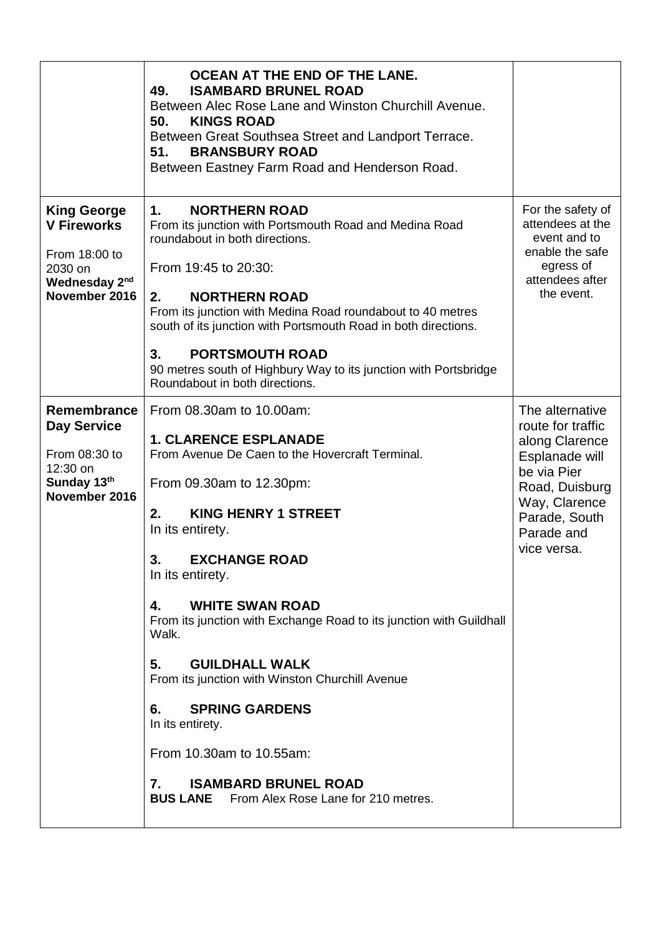|                                                                                                                    | OCEAN AT THE END OF THE LANE.<br><b>ISAMBARD BRUNEL ROAD</b><br>49.<br>Between Alec Rose Lane and Winston Churchill Avenue.<br>50.<br><b>KINGS ROAD</b><br>Between Great Southsea Street and Landport Terrace.<br><b>BRANSBURY ROAD</b><br>51.<br>Between Eastney Farm Road and Henderson Road.                                                                                                                                                                                                                                                                                                                                |                                                                                                                                                                          |
|--------------------------------------------------------------------------------------------------------------------|--------------------------------------------------------------------------------------------------------------------------------------------------------------------------------------------------------------------------------------------------------------------------------------------------------------------------------------------------------------------------------------------------------------------------------------------------------------------------------------------------------------------------------------------------------------------------------------------------------------------------------|--------------------------------------------------------------------------------------------------------------------------------------------------------------------------|
| <b>King George</b><br><b>V Fireworks</b><br>From 18:00 to<br>2030 on<br>Wednesday 2 <sup>nd</sup><br>November 2016 | <b>NORTHERN ROAD</b><br>1.<br>From its junction with Portsmouth Road and Medina Road<br>roundabout in both directions.<br>From 19:45 to 20:30:<br><b>NORTHERN ROAD</b><br>2.<br>From its junction with Medina Road roundabout to 40 metres<br>south of its junction with Portsmouth Road in both directions.<br><b>PORTSMOUTH ROAD</b><br>3.<br>90 metres south of Highbury Way to its junction with Portsbridge<br>Roundabout in both directions.                                                                                                                                                                             | For the safety of<br>attendees at the<br>event and to<br>enable the safe<br>egress of<br>attendees after<br>the event.                                                   |
| Remembrance<br><b>Day Service</b><br>From 08:30 to<br>12:30 on<br>Sunday 13th<br>November 2016                     | From 08.30am to 10.00am:<br><b>1. CLARENCE ESPLANADE</b><br>From Avenue De Caen to the Hovercraft Terminal.<br>From 09.30am to 12.30pm:<br><b>KING HENRY 1 STREET</b><br>2.<br>In its entirety.<br>3.<br><b>EXCHANGE ROAD</b><br>In its entirety.<br><b>WHITE SWAN ROAD</b><br>4.<br>From its junction with Exchange Road to its junction with Guildhall<br>Walk.<br><b>GUILDHALL WALK</b><br>5.<br>From its junction with Winston Churchill Avenue<br><b>SPRING GARDENS</b><br>6.<br>In its entirety.<br>From 10.30am to 10.55am:<br><b>ISAMBARD BRUNEL ROAD</b><br>7.<br><b>BUS LANE</b> From Alex Rose Lane for 210 metres. | The alternative<br>route for traffic<br>along Clarence<br>Esplanade will<br>be via Pier<br>Road, Duisburg<br>Way, Clarence<br>Parade, South<br>Parade and<br>vice versa. |